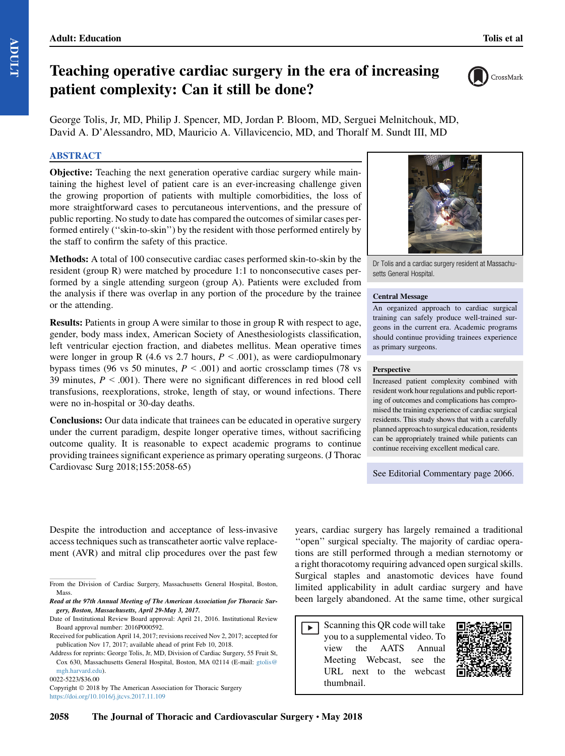# Teaching operative cardiac surgery in the era of increasing patient complexity: Can it still be done?

CrossMark

George Tolis, Jr, MD, Philip J. Spencer, MD, Jordan P. Bloom, MD, Serguei Melnitchouk, MD, David A. D'Alessandro, MD, Mauricio A. Villavicencio, MD, and Thoralf M. Sundt III, MD

## ABSTRACT

Objective: Teaching the next generation operative cardiac surgery while maintaining the highest level of patient care is an ever-increasing challenge given the growing proportion of patients with multiple comorbidities, the loss of more straightforward cases to percutaneous interventions, and the pressure of public reporting. No study to date has compared the outcomes of similar cases performed entirely (''skin-to-skin'') by the resident with those performed entirely by the staff to confirm the safety of this practice.

Methods: A total of 100 consecutive cardiac cases performed skin-to-skin by the resident (group R) were matched by procedure 1:1 to nonconsecutive cases performed by a single attending surgeon (group A). Patients were excluded from the analysis if there was overlap in any portion of the procedure by the trainee or the attending.

Results: Patients in group A were similar to those in group R with respect to age, gender, body mass index, American Society of Anesthesiologists classification, left ventricular ejection fraction, and diabetes mellitus. Mean operative times were longer in group R (4.6 vs 2.7 hours,  $P < .001$ ), as were cardiopulmonary bypass times (96 vs 50 minutes,  $P < .001$ ) and aortic crossclamp times (78 vs 39 minutes,  $P < .001$ ). There were no significant differences in red blood cell transfusions, reexplorations, stroke, length of stay, or wound infections. There were no in-hospital or 30-day deaths.

Conclusions: Our data indicate that trainees can be educated in operative surgery under the current paradigm, despite longer operative times, without sacrificing outcome quality. It is reasonable to expect academic programs to continue providing trainees significant experience as primary operating surgeons. (J Thorac Cardiovasc Surg 2018;155:2058-65)



Dr Tolis and a cardiac surgery resident at Massachusetts General Hospital.

#### Central Message

An organized approach to cardiac surgical training can safely produce well-trained surgeons in the current era. Academic programs should continue providing trainees experience as primary surgeons.

#### Perspective

Increased patient complexity combined with resident work hour regulations and public reporting of outcomes and complications has compromised the training experience of cardiac surgical residents. This study shows that with a carefully planned approachto surgical education, residents can be appropriately trained while patients can continue receiving excellent medical care.

See Editorial Commentary page 2066.

Despite the introduction and acceptance of less-invasive access techniques such as transcatheter aortic valve replacement (AVR) and mitral clip procedures over the past few

Copyright © 2018 by The American Association for Thoracic Surgery <https://doi.org/10.1016/j.jtcvs.2017.11.109>

years, cardiac surgery has largely remained a traditional ''open'' surgical specialty. The majority of cardiac operations are still performed through a median sternotomy or a right thoracotomy requiring advanced open surgical skills. Surgical staples and anastomotic devices have found limited applicability in adult cardiac surgery and have been largely abandoned. At the same time, other surgical

Scanning this QR code will take  $\blacktriangleright$ you to a supplemental video. To view the AATS Annual Meeting Webcast, see the URL next to the webcast thumbnail.



From the Division of Cardiac Surgery, Massachusetts General Hospital, Boston, Mass.

Read at the 97th Annual Meeting of The American Association for Thoracic Surgery, Boston, Massachusetts, April 29-May 3, 2017.

Date of Institutional Review Board approval: April 21, 2016. Institutional Review Board approval number: 2016P000592.

Received for publication April 14, 2017; revisions received Nov 2, 2017; accepted for publication Nov 17, 2017; available ahead of print Feb 10, 2018.

Address for reprints: George Tolis, Jr, MD, Division of Cardiac Surgery, 55 Fruit St, Cox 630, Massachusetts General Hospital, Boston, MA 02114 (E-mail: [gtolis@](mailto:gtolis@mgh.harvard.edu) [mgh.harvard.edu\)](mailto:gtolis@mgh.harvard.edu).

<sup>0022-5223/\$36.00</sup>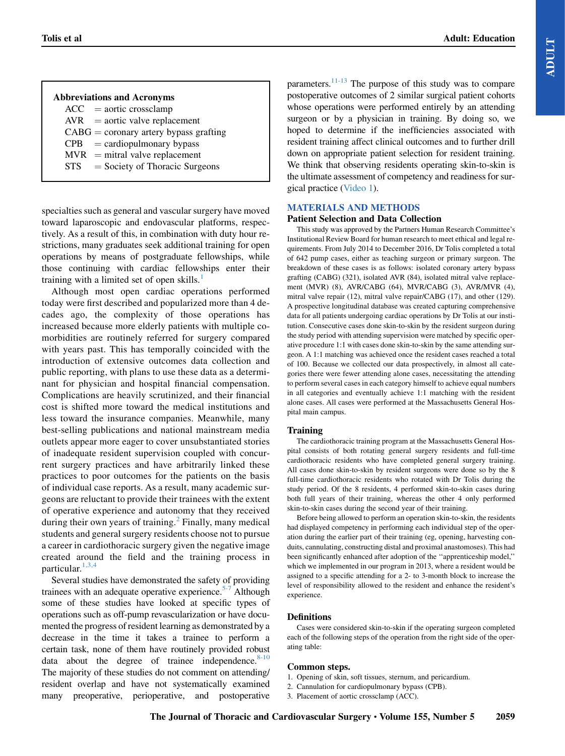# Abbreviations and Acronyms

| ACC- | $=$ aortic crossclamp |  |
|------|-----------------------|--|
|      |                       |  |

- $AVR =$ aortic valve replacement
- $CABG =$  coronary artery bypass grafting
- $CPB =$  cardiopulmonary bypass
- $MVR$  = mitral valve replacement<br> $STS$  = Society of Thoracic Surg
- $=$  Society of Thoracic Surgeons

specialties such as general and vascular surgery have moved toward laparoscopic and endovascular platforms, respectively. As a result of this, in combination with duty hour restrictions, many graduates seek additional training for open operations by means of postgraduate fellowships, while those continuing with cardiac fellowships enter their training with a limited set of open skills. $<sup>1</sup>$  $<sup>1</sup>$  $<sup>1</sup>$ </sup>

Although most open cardiac operations performed today were first described and popularized more than 4 decades ago, the complexity of those operations has increased because more elderly patients with multiple comorbidities are routinely referred for surgery compared with years past. This has temporally coincided with the introduction of extensive outcomes data collection and public reporting, with plans to use these data as a determinant for physician and hospital financial compensation. Complications are heavily scrutinized, and their financial cost is shifted more toward the medical institutions and less toward the insurance companies. Meanwhile, many best-selling publications and national mainstream media outlets appear more eager to cover unsubstantiated stories of inadequate resident supervision coupled with concurrent surgery practices and have arbitrarily linked these practices to poor outcomes for the patients on the basis of individual case reports. As a result, many academic surgeons are reluctant to provide their trainees with the extent of operative experience and autonomy that they received during their own years of training. $<sup>2</sup>$  $<sup>2</sup>$  $<sup>2</sup>$  Finally, many medical</sup> students and general surgery residents choose not to pursue a career in cardiothoracic surgery given the negative image created around the field and the training process in particular. $1,3,4$ 

Several studies have demonstrated the safety of providing trainees with an adequate operative experience. $5-7$  Although some of these studies have looked at specific types of operations such as off-pump revascularization or have documented the progress of resident learning as demonstrated by a decrease in the time it takes a trainee to perform a certain task, none of them have routinely provided robust data about the degree of trainee independence. $8-10$ The majority of these studies do not comment on attending/ resident overlap and have not systematically examined many preoperative, perioperative, and postoperative

parameters. $11-13$  The purpose of this study was to compare postoperative outcomes of 2 similar surgical patient cohorts whose operations were performed entirely by an attending surgeon or by a physician in training. By doing so, we hoped to determine if the inefficiencies associated with resident training affect clinical outcomes and to further drill down on appropriate patient selection for resident training. We think that observing residents operating skin-to-skin is the ultimate assessment of competency and readiness for surgical practice (Video 1).

# MATERIALS AND METHODS

## Patient Selection and Data Collection

This study was approved by the Partners Human Research Committee's Institutional Review Board for human research to meet ethical and legal requirements. From July 2014 to December 2016, Dr Tolis completed a total of 642 pump cases, either as teaching surgeon or primary surgeon. The breakdown of these cases is as follows: isolated coronary artery bypass grafting (CABG) (321), isolated AVR (84), isolated mitral valve replacement (MVR) (8), AVR/CABG (64), MVR/CABG (3), AVR/MVR (4), mitral valve repair (12), mitral valve repair/CABG (17), and other (129). A prospective longitudinal database was created capturing comprehensive data for all patients undergoing cardiac operations by Dr Tolis at our institution. Consecutive cases done skin-to-skin by the resident surgeon during the study period with attending supervision were matched by specific operative procedure 1:1 with cases done skin-to-skin by the same attending surgeon. A 1:1 matching was achieved once the resident cases reached a total of 100. Because we collected our data prospectively, in almost all categories there were fewer attending alone cases, necessitating the attending to perform several cases in each category himself to achieve equal numbers in all categories and eventually achieve 1:1 matching with the resident alone cases. All cases were performed at the Massachusetts General Hospital main campus.

# Training

The cardiothoracic training program at the Massachusetts General Hospital consists of both rotating general surgery residents and full-time cardiothoracic residents who have completed general surgery training. All cases done skin-to-skin by resident surgeons were done so by the 8 full-time cardiothoracic residents who rotated with Dr Tolis during the study period. Of the 8 residents, 4 performed skin-to-skin cases during both full years of their training, whereas the other 4 only performed skin-to-skin cases during the second year of their training.

Before being allowed to perform an operation skin-to-skin, the residents had displayed competency in performing each individual step of the operation during the earlier part of their training (eg, opening, harvesting conduits, cannulating, constructing distal and proximal anastomoses). This had been significantly enhanced after adoption of the ''apprenticeship model,'' which we implemented in our program in 2013, where a resident would be assigned to a specific attending for a 2- to 3-month block to increase the level of responsibility allowed to the resident and enhance the resident's experience.

# **Definitions**

Cases were considered skin-to-skin if the operating surgeon completed each of the following steps of the operation from the right side of the operating table:

# Common steps.

- 1. Opening of skin, soft tissues, sternum, and pericardium.
- 2. Cannulation for cardiopulmonary bypass (CPB).
- 3. Placement of aortic crossclamp (ACC).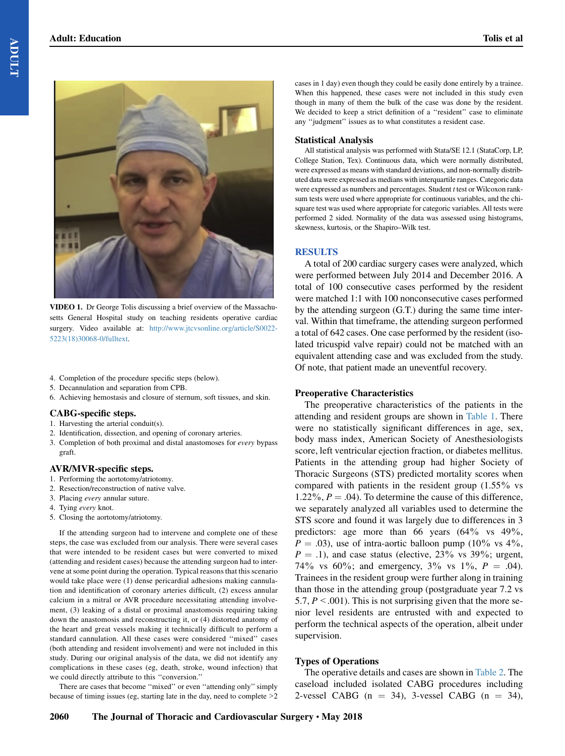

VIDEO 1. Dr George Tolis discussing a brief overview of the Massachusetts General Hospital study on teaching residents operative cardiac surgery. Video available at: [http://www.jtcvsonline.org/article/S0022-](http://www.jtcvsonline.org/article/S0022-5223(18)30068-0/fulltext) [5223\(18\)30068-0/fulltext](http://www.jtcvsonline.org/article/S0022-5223(18)30068-0/fulltext).

- 4. Completion of the procedure specific steps (below).
- 5. Decannulation and separation from CPB.
- 6. Achieving hemostasis and closure of sternum, soft tissues, and skin.

#### CABG-specific steps.

- 1. Harvesting the arterial conduit(s).
- 2. Identification, dissection, and opening of coronary arteries.
- 3. Completion of both proximal and distal anastomoses for every bypass graft.

## AVR/MVR-specific steps.

- 1. Performing the aortotomy/atriotomy.
- 2. Resection/reconstruction of native valve.
- 3. Placing every annular suture.
- 4. Tying every knot.
- 5. Closing the aortotomy/atriotomy.

If the attending surgeon had to intervene and complete one of these steps, the case was excluded from our analysis. There were several cases that were intended to be resident cases but were converted to mixed (attending and resident cases) because the attending surgeon had to intervene at some point during the operation. Typical reasons that this scenario would take place were (1) dense pericardial adhesions making cannulation and identification of coronary arteries difficult, (2) excess annular calcium in a mitral or AVR procedure necessitating attending involvement, (3) leaking of a distal or proximal anastomosis requiring taking down the anastomosis and reconstructing it, or (4) distorted anatomy of the heart and great vessels making it technically difficult to perform a standard cannulation. All these cases were considered ''mixed'' cases (both attending and resident involvement) and were not included in this study. During our original analysis of the data, we did not identify any complications in these cases (eg, death, stroke, wound infection) that we could directly attribute to this ''conversion.''

There are cases that become "mixed" or even "attending only" simply because of timing issues (eg, starting late in the day, need to complete>2 cases in 1 day) even though they could be easily done entirely by a trainee. When this happened, these cases were not included in this study even though in many of them the bulk of the case was done by the resident. We decided to keep a strict definition of a "resident" case to eliminate any ''judgment'' issues as to what constitutes a resident case.

#### Statistical Analysis

All statistical analysis was performed with Stata/SE 12.1 (StataCorp, LP, College Station, Tex). Continuous data, which were normally distributed, were expressed as means with standard deviations, and non-normally distributed data were expressed as medians with interquartile ranges. Categoric data were expressed as numbers and percentages. Student  $t$  test or Wilcoxon ranksum tests were used where appropriate for continuous variables, and the chisquare test was used where appropriate for categoric variables. All tests were performed 2 sided. Normality of the data was assessed using histograms, skewness, kurtosis, or the Shapiro–Wilk test.

## **RESULTS**

A total of 200 cardiac surgery cases were analyzed, which were performed between July 2014 and December 2016. A total of 100 consecutive cases performed by the resident were matched 1:1 with 100 nonconsecutive cases performed by the attending surgeon (G.T.) during the same time interval. Within that timeframe, the attending surgeon performed a total of 642 cases. One case performed by the resident (isolated tricuspid valve repair) could not be matched with an equivalent attending case and was excluded from the study. Of note, that patient made an uneventful recovery.

## Preoperative Characteristics

The preoperative characteristics of the patients in the attending and resident groups are shown in [Table 1.](#page-3-0) There were no statistically significant differences in age, sex, body mass index, American Society of Anesthesiologists score, left ventricular ejection fraction, or diabetes mellitus. Patients in the attending group had higher Society of Thoracic Surgeons (STS) predicted mortality scores when compared with patients in the resident group (1.55% vs 1.22%,  $P = .04$ ). To determine the cause of this difference, we separately analyzed all variables used to determine the STS score and found it was largely due to differences in 3 predictors: age more than 66 years (64% vs 49%,  $P = .03$ ), use of intra-aortic balloon pump (10% vs 4%,  $P = .1$ ), and case status (elective, 23% vs 39%; urgent, 74% vs 60%; and emergency,  $3\%$  vs  $1\%$ ,  $P = .04$ ). Trainees in the resident group were further along in training than those in the attending group (postgraduate year 7.2 vs 5.7,  $P < .001$ ). This is not surprising given that the more senior level residents are entrusted with and expected to perform the technical aspects of the operation, albeit under supervision.

# Types of Operations

The operative details and cases are shown in [Table 2.](#page-3-0) The caseload included isolated CABG procedures including 2-vessel CABG ( $n = 34$ ), 3-vessel CABG ( $n = 34$ ),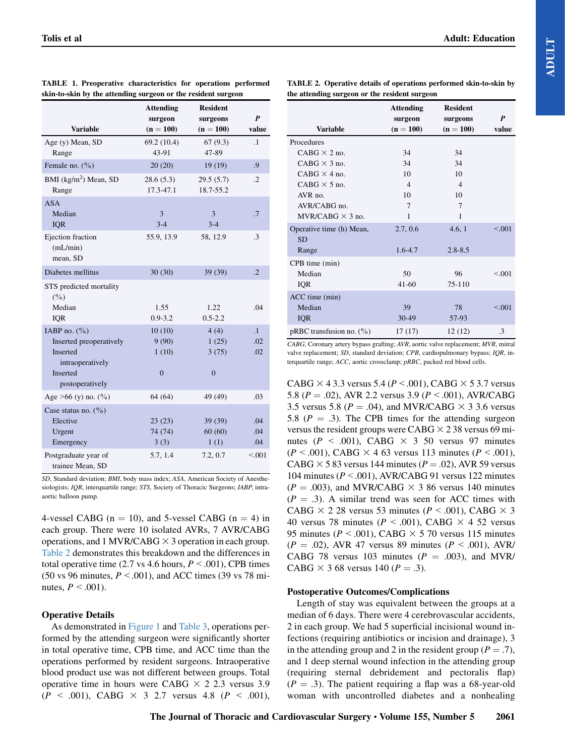|                          | <b>Attending</b> | <b>Resident</b> |                  |
|--------------------------|------------------|-----------------|------------------|
|                          | surgeon          | surgeons        | $\boldsymbol{P}$ |
| <b>Variable</b>          | $(n = 100)$      | $(n = 100)$     | value            |
| Age (y) Mean, SD         | 69.2 (10.4)      | 67(9.3)         | $\cdot$          |
| Range                    | 43-91            | 47-89           |                  |
| Female no. $(\% )$       | 20(20)           | 19(19)          | .9               |
| BMI $(kg/m2)$ Mean, SD   | 28.6(5.3)        | 29.5(5.7)       | $\cdot$          |
| Range                    | $17.3 - 47.1$    | 18.7-55.2       |                  |
| <b>ASA</b>               |                  |                 |                  |
| Median                   | 3                | 3               | .7               |
| <b>IQR</b>               | $3-4$            | $3 - 4$         |                  |
| Ejection fraction        | 55.9, 13.9       | 58, 12.9        | $\cdot$ 3        |
| (mL/min)                 |                  |                 |                  |
| mean, SD                 |                  |                 |                  |
| Diabetes mellitus        | 30(30)           | 39 (39)         | $\cdot$ .2       |
|                          |                  |                 |                  |
| STS predicted mortality  |                  |                 |                  |
| (9/0)                    |                  |                 |                  |
| Median                   | 1.55             | 1.22            | .04              |
| IQR                      | $0.9 - 3.2$      | $0.5 - 2.2$     |                  |
| IABP no. $(\frac{9}{0})$ | 10(10)           | 4(4)            | $\overline{1}$   |
| Inserted preoperatively  | 9(90)            | 1(25)           | .02              |
| <b>Inserted</b>          | 1(10)            | 3(75)           | .02              |
| intraoperatively         |                  |                 |                  |
| Inserted                 | $\mathbf{0}$     | $\mathbf{0}$    |                  |
| postoperatively          |                  |                 |                  |
| Age $>66$ (y) no. (%)    | 64(64)           | 49 (49)         | .03              |
| Case status no. $(\% )$  |                  |                 |                  |
| Elective                 | 23(23)           | 39 (39)         | .04              |
| Urgent                   | 74 (74)          | 60(60)          | .04              |
| Emergency                | 3(3)             | 1(1)            | .04              |
| Postgraduate year of     | 5.7, 1.4         | 7.2, 0.7        | < 0.001          |
| trainee Mean, SD         |                  |                 |                  |

<span id="page-3-0"></span>

|                                                               |  |  | TABLE 1. Preoperative characteristics for operations performed |  |  |  |
|---------------------------------------------------------------|--|--|----------------------------------------------------------------|--|--|--|
| skin-to-skin by the attending surgeon or the resident surgeon |  |  |                                                                |  |  |  |

TABLE 2. Operative details of operations performed skin-to-skin by the attending surgeon or the resident surgeon

|                                | <b>Attending</b><br>surgeon | <b>Resident</b><br>surgeons | P       |
|--------------------------------|-----------------------------|-----------------------------|---------|
| <b>Variable</b>                | $(n = 100)$                 | $(n = 100)$                 | value   |
| Procedures                     |                             |                             |         |
| $CABG \times 2$ no.            | 34                          | 34                          |         |
| $CABG \times 3$ no.            | 34                          | 34                          |         |
| $CABG \times 4$ no.            | 10                          | 10                          |         |
| $CABG \times 5$ no.            | $\overline{4}$              | $\overline{4}$              |         |
| AVR no.                        | 10                          | 10                          |         |
| AVR/CABG no.                   | 7                           | 7                           |         |
| $MVR/CARG \times 3$ no.        | 1                           | 1                           |         |
| Operative time (h) Mean,       | 2.7, 0.6                    | 4.6, 1                      | < 0.001 |
| <b>SD</b>                      |                             |                             |         |
| Range                          | $1.6 - 4.7$                 | $2.8 - 8.5$                 |         |
| CPB time (min)                 |                             |                             |         |
| Median                         | 50                          | 96                          | < 0.01  |
| IQR                            | $41 - 60$                   | $75 - 110$                  |         |
| ACC time (min)                 |                             |                             |         |
| Median                         | 39                          | 78                          | < 0.001 |
| <b>IQR</b>                     | 30-49                       | 57-93                       |         |
| $pRBC$ transfusion no. $(\% )$ | 17(17)                      | 12(12)                      | .3      |

CABG, Coronary artery bypass grafting; AVR, aortic valve replacement; MVR, mitral valve replacement; SD, standard deviation; CPB, cardiopulmonary bypass; IQR, interquartile range; ACC, aortic crossclamp; pRBC, packed red blood cells.

CABG  $\times$  4 3.3 versus 5.4 ( $P < .001$ ), CABG  $\times$  5 3.7 versus 5.8 ( $P = .02$ ), AVR 2.2 versus 3.9 ( $P < .001$ ), AVR/CABG 3.5 versus 5.8 ( $P = .04$ ), and MVR/CABG  $\times$  3 3.6 versus 5.8 ( $P = .3$ ). The CPB times for the attending surgeon versus the resident groups were CABG  $\times$  2 38 versus 69 minutes ( $P < .001$ ), CABG  $\times$  3 50 versus 97 minutes  $(P < .001)$ , CABG  $\times$  4 63 versus 113 minutes ( $P < .001$ ), CABG  $\times$  5 83 versus 144 minutes ( $P = .02$ ), AVR 59 versus 104 minutes ( $P < .001$ ), AVR/CABG 91 versus 122 minutes  $(P = .003)$ , and MVR/CABG  $\times$  3 86 versus 140 minutes  $(P = .3)$ . A similar trend was seen for ACC times with CABG  $\times$  2 28 versus 53 minutes (P < .001), CABG  $\times$  3 40 versus 78 minutes ( $P < .001$ ), CABG  $\times$  4 52 versus 95 minutes ( $P < .001$ ), CABG  $\times$  5 70 versus 115 minutes  $(P = .02)$ , AVR 47 versus 89 minutes  $(P < .001)$ , AVR/ CABG 78 versus 103 minutes ( $P = .003$ ), and MVR/ CABG  $\times$  3 68 versus 140 ( $P = .3$ ).

## Postoperative Outcomes/Complications

Length of stay was equivalent between the groups at a median of 6 days. There were 4 cerebrovascular accidents, 2 in each group. We had 5 superficial incisional wound infections (requiring antibiotics or incision and drainage), 3 in the attending group and 2 in the resident group ( $P = .7$ ), and 1 deep sternal wound infection in the attending group (requiring sternal debridement and pectoralis flap)  $(P = .3)$ . The patient requiring a flap was a 68-year-old woman with uncontrolled diabetes and a nonhealing

#### SD, Standard deviation; BMI, body mass index; ASA, American Society of Anesthesiologists; IQR, interquartile range; STS, Society of Thoracic Surgeons; IABP, intraaortic balloon pump.

4-vessel CABG ( $n = 10$ ), and 5-vessel CABG ( $n = 4$ ) in each group. There were 10 isolated AVRs, 7 AVR/CABG operations, and 1 MVR/CABG  $\times$  3 operation in each group. Table 2 demonstrates this breakdown and the differences in total operative time (2.7 vs 4.6 hours,  $P < .001$ ), CPB times (50 vs 96 minutes,  $P < .001$ ), and ACC times (39 vs 78 minutes,  $P \leq .001$ ).

# Operative Details

As demonstrated in [Figure 1](#page-4-0) and [Table 3,](#page-4-0) operations performed by the attending surgeon were significantly shorter in total operative time, CPB time, and ACC time than the operations performed by resident surgeons. Intraoperative blood product use was not different between groups. Total operative time in hours were CABG  $\times$  2 2.3 versus 3.9  $(P < .001)$ , CABG  $\times$  3 2.7 versus 4.8  $(P < .001)$ ,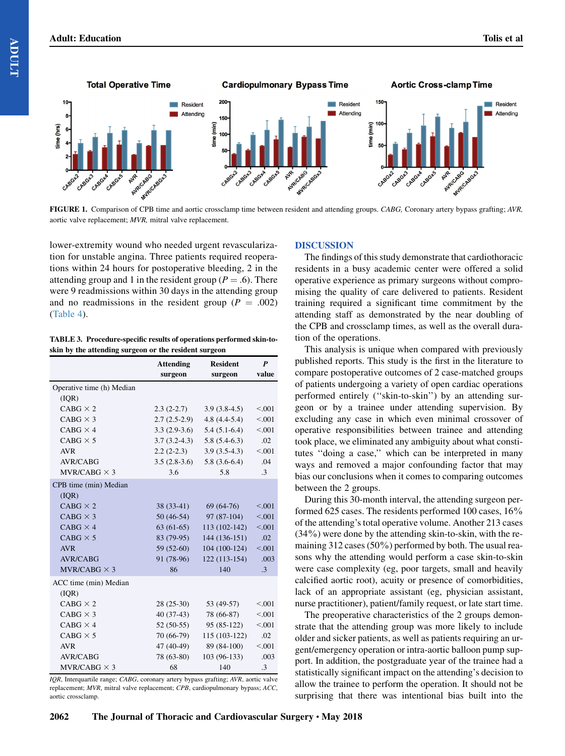<span id="page-4-0"></span>

FIGURE 1. Comparison of CPB time and aortic crossclamp time between resident and attending groups. CABG, Coronary artery bypass grafting; AVR, aortic valve replacement; MVR, mitral valve replacement.

lower-extremity wound who needed urgent revascularization for unstable angina. Three patients required reoperations within 24 hours for postoperative bleeding, 2 in the attending group and 1 in the resident group ( $P = .6$ ). There were 9 readmissions within 30 days in the attending group and no readmissions in the resident group ( $P = .002$ ) ([Table 4](#page-5-0)).

TABLE 3. Procedure-specific results of operations performed skin-toskin by the attending surgeon or the resident surgeon

|                           | <b>Attending</b> | <b>Resident</b> | P         |
|---------------------------|------------------|-----------------|-----------|
|                           | surgeon          | surgeon         | value     |
| Operative time (h) Median |                  |                 |           |
| ( IQR)                    |                  |                 |           |
| $CABG \times 2$           | $2.3(2-2.7)$     | $3.9(3.8-4.5)$  | < 0.001   |
| $CABG \times 3$           | $2.7(2.5-2.9)$   | $4.8(4.4-5.4)$  | < 0.001   |
| $CABG \times 4$           | $3.3(2.9-3.6)$   | $5.4(5.1-6.4)$  | < 0.001   |
| $CABG \times 5$           | $3.7(3.2-4.3)$   | $5.8(5.4-6.3)$  | .02       |
| <b>AVR</b>                | $2.2(2-2.3)$     | $3.9(3.5-4.3)$  | < 0.001   |
| <b>AVR/CABG</b>           | $3.5(2.8-3.6)$   | $5.8(3.6-6.4)$  | .04       |
| $MVR/CABG \times 3$       | 3.6              | 5.8             | $\cdot$ 3 |
| CPB time (min) Median     |                  |                 |           |
| ( IQR)                    |                  |                 |           |
| $CABG \times 2$           | $38(33-41)$      | $69(64-76)$     | < 0.001   |
| $CABG \times 3$           | $50(46-54)$      | $97(87-104)$    | < 0.001   |
| $CABG \times 4$           | $63(61-65)$      | $113(102-142)$  | < 0.001   |
| $CABG \times 5$           | 83 (79-95)       | 144 (136-151)   | .02       |
| <b>AVR</b>                | $59(52-60)$      | $104(100-124)$  | < 0.001   |
| AVR/CABG                  | 91 (78-96)       | 122 (113-154)   | .003      |
| $MVR/CABG \times 3$       | 86               | 140             | $\cdot$ 3 |
| ACC time (min) Median     |                  |                 |           |
| ( IQR)                    |                  |                 |           |
| $CABG \times 2$           | $28(25-30)$      | 53 (49-57)      | < 0.001   |
| $CABG \times 3$           | 40 (37-43)       | 78 (66-87)      | < 0.001   |
| $CABG \times 4$           | $52(50-55)$      | $95(85-122)$    | < 0.001   |
| $CABG \times 5$           | 70 (66-79)       | 115 (103-122)   | .02       |
| <b>AVR</b>                | 47 (40-49)       | 89 (84-100)     | < 0.001   |
| AVR/CABG                  | 78 (63-80)       | 103 (96-133)    | .003      |
| $MVR/CABG \times 3$       | 68               | 140             | $\cdot$ 3 |

IQR, Interquartile range; CABG, coronary artery bypass grafting; AVR, aortic valve replacement; MVR, mitral valve replacement; CPB, cardiopulmonary bypass; ACC, aortic crossclamp.

#### DISCUSSION

The findings of this study demonstrate that cardiothoracic residents in a busy academic center were offered a solid operative experience as primary surgeons without compromising the quality of care delivered to patients. Resident training required a significant time commitment by the attending staff as demonstrated by the near doubling of the CPB and crossclamp times, as well as the overall duration of the operations.

This analysis is unique when compared with previously published reports. This study is the first in the literature to compare postoperative outcomes of 2 case-matched groups of patients undergoing a variety of open cardiac operations performed entirely (''skin-to-skin'') by an attending surgeon or by a trainee under attending supervision. By excluding any case in which even minimal crossover of operative responsibilities between trainee and attending took place, we eliminated any ambiguity about what constitutes ''doing a case,'' which can be interpreted in many ways and removed a major confounding factor that may bias our conclusions when it comes to comparing outcomes between the 2 groups.

During this 30-month interval, the attending surgeon performed 625 cases. The residents performed 100 cases, 16% of the attending's total operative volume. Another 213 cases  $(34\%)$  were done by the attending skin-to-skin, with the remaining 312 cases (50%) performed by both. The usual reasons why the attending would perform a case skin-to-skin were case complexity (eg, poor targets, small and heavily calcified aortic root), acuity or presence of comorbidities, lack of an appropriate assistant (eg, physician assistant, nurse practitioner), patient/family request, or late start time.

The preoperative characteristics of the 2 groups demonstrate that the attending group was more likely to include older and sicker patients, as well as patients requiring an urgent/emergency operation or intra-aortic balloon pump support. In addition, the postgraduate year of the trainee had a statistically significant impact on the attending's decision to allow the trainee to perform the operation. It should not be surprising that there was intentional bias built into the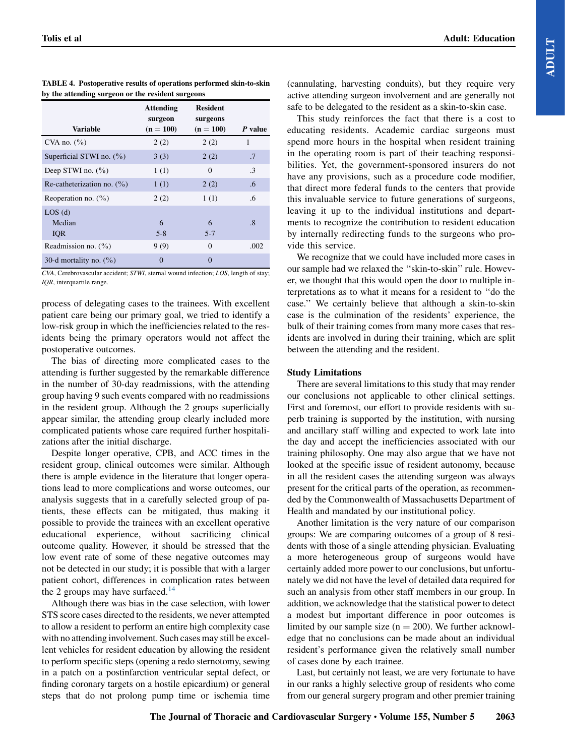|                                | <b>Attending</b><br>surgeon | <b>Resident</b><br>surgeons |                        |
|--------------------------------|-----------------------------|-----------------------------|------------------------|
| <b>Variable</b>                | $(n = 100)$                 | $(n = 100)$                 | P value                |
| CVA no. $(\%$ )                | 2(2)                        | 2(2)                        | 1                      |
| Superficial STWI no. $(\% )$   | 3(3)                        | 2(2)                        | .7                     |
| Deep STWI no. $(\% )$          | 1(1)                        | $\Omega$                    | $\cdot$ 3              |
| Re-catheterization no. $(\% )$ | 1(1)                        | 2(2)                        | .6                     |
| Reoperation no. $(\% )$        | 2(2)                        | 1(1)                        | .6                     |
| LOS(d)                         |                             |                             |                        |
| Median                         | 6                           | 6                           | $\cdot$ <sup>8</sup> . |
| <b>IQR</b>                     | $5 - 8$                     | $5 - 7$                     |                        |
| Readmission no. $(\% )$        | 9(9)                        | $\Omega$                    | .002                   |
| 30-d mortality no. $(\% )$     | $\theta$                    | $\Omega$                    |                        |

<span id="page-5-0"></span>TABLE 4. Postoperative results of operations performed skin-to-skin by the attending surgeon or the resident surgeons

CVA, Cerebrovascular accident; STWI, sternal wound infection; LOS, length of stay; IQR, interquartile range.

process of delegating cases to the trainees. With excellent patient care being our primary goal, we tried to identify a low-risk group in which the inefficiencies related to the residents being the primary operators would not affect the postoperative outcomes.

The bias of directing more complicated cases to the attending is further suggested by the remarkable difference in the number of 30-day readmissions, with the attending group having 9 such events compared with no readmissions in the resident group. Although the 2 groups superficially appear similar, the attending group clearly included more complicated patients whose care required further hospitalizations after the initial discharge.

Despite longer operative, CPB, and ACC times in the resident group, clinical outcomes were similar. Although there is ample evidence in the literature that longer operations lead to more complications and worse outcomes, our analysis suggests that in a carefully selected group of patients, these effects can be mitigated, thus making it possible to provide the trainees with an excellent operative educational experience, without sacrificing clinical outcome quality. However, it should be stressed that the low event rate of some of these negative outcomes may not be detected in our study; it is possible that with a larger patient cohort, differences in complication rates between the 2 groups may have surfaced. $14$ 

Although there was bias in the case selection, with lower STS score cases directed to the residents, we never attempted to allow a resident to perform an entire high complexity case with no attending involvement. Such cases may still be excellent vehicles for resident education by allowing the resident to perform specific steps (opening a redo sternotomy, sewing in a patch on a postinfarction ventricular septal defect, or finding coronary targets on a hostile epicardium) or general steps that do not prolong pump time or ischemia time

(cannulating, harvesting conduits), but they require very active attending surgeon involvement and are generally not safe to be delegated to the resident as a skin-to-skin case.

This study reinforces the fact that there is a cost to educating residents. Academic cardiac surgeons must spend more hours in the hospital when resident training in the operating room is part of their teaching responsibilities. Yet, the government-sponsored insurers do not have any provisions, such as a procedure code modifier, that direct more federal funds to the centers that provide this invaluable service to future generations of surgeons, leaving it up to the individual institutions and departments to recognize the contribution to resident education by internally redirecting funds to the surgeons who provide this service.

We recognize that we could have included more cases in our sample had we relaxed the ''skin-to-skin'' rule. However, we thought that this would open the door to multiple interpretations as to what it means for a resident to ''do the case.'' We certainly believe that although a skin-to-skin case is the culmination of the residents' experience, the bulk of their training comes from many more cases that residents are involved in during their training, which are split between the attending and the resident.

## Study Limitations

There are several limitations to this study that may render our conclusions not applicable to other clinical settings. First and foremost, our effort to provide residents with superb training is supported by the institution, with nursing and ancillary staff willing and expected to work late into the day and accept the inefficiencies associated with our training philosophy. One may also argue that we have not looked at the specific issue of resident autonomy, because in all the resident cases the attending surgeon was always present for the critical parts of the operation, as recommended by the Commonwealth of Massachusetts Department of Health and mandated by our institutional policy.

Another limitation is the very nature of our comparison groups: We are comparing outcomes of a group of 8 residents with those of a single attending physician. Evaluating a more heterogeneous group of surgeons would have certainly added more power to our conclusions, but unfortunately we did not have the level of detailed data required for such an analysis from other staff members in our group. In addition, we acknowledge that the statistical power to detect a modest but important difference in poor outcomes is limited by our sample size  $(n = 200)$ . We further acknowledge that no conclusions can be made about an individual resident's performance given the relatively small number of cases done by each trainee.

Last, but certainly not least, we are very fortunate to have in our ranks a highly selective group of residents who come from our general surgery program and other premier training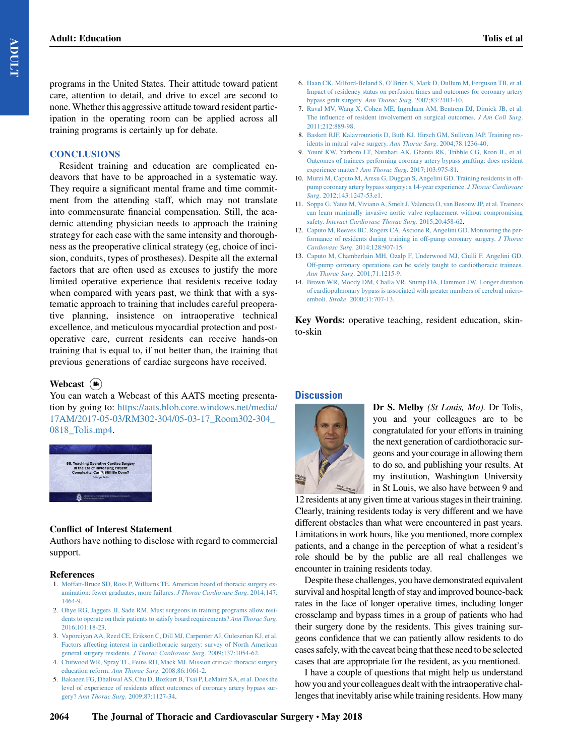<span id="page-6-0"></span>programs in the United States. Their attitude toward patient care, attention to detail, and drive to excel are second to none. Whether this aggressive attitude toward resident participation in the operating room can be applied across all training programs is certainly up for debate.

#### **CONCLUSIONS**

Resident training and education are complicated endeavors that have to be approached in a systematic way. They require a significant mental frame and time commitment from the attending staff, which may not translate into commensurate financial compensation. Still, the academic attending physician needs to approach the training strategy for each case with the same intensity and thoroughness as the preoperative clinical strategy (eg, choice of incision, conduits, types of prostheses). Despite all the external factors that are often used as excuses to justify the more limited operative experience that residents receive today when compared with years past, we think that with a systematic approach to training that includes careful preoperative planning, insistence on intraoperative technical excellence, and meticulous myocardial protection and postoperative care, current residents can receive hands-on training that is equal to, if not better than, the training that previous generations of cardiac surgeons have received.

## Webcast  $(\triangle)$

You can watch a Webcast of this AATS meeting presentation by going to: [https://aats.blob.core.windows.net/media/](https://aats.blob.core.windows.net/media/17AM/2017-05-03/RM302-304/05-03-17_Room302-304_0818_Tolis.mp4) [17AM/2017-05-03/RM302-304/05-03-17\\_Room302-304\\_](https://aats.blob.core.windows.net/media/17AM/2017-05-03/RM302-304/05-03-17_Room302-304_0818_Tolis.mp4) [0818\\_Tolis.mp4](https://aats.blob.core.windows.net/media/17AM/2017-05-03/RM302-304/05-03-17_Room302-304_0818_Tolis.mp4).



## Conflict of Interest Statement

Authors have nothing to disclose with regard to commercial support.

#### References

- 1. [Moffatt-Bruce SD, Ross P, Williams TE. American board of thoracic surgery ex](http://refhub.elsevier.com/S0022-5223(18)30068-0/YMTC12488_sref1)[amination: fewer graduates, more failures.](http://refhub.elsevier.com/S0022-5223(18)30068-0/YMTC12488_sref1) J Thorac Cardiovasc Surg. 2014;147: [1464-9.](http://refhub.elsevier.com/S0022-5223(18)30068-0/YMTC12488_sref1)
- 2. [Ohye RG, Jaggers JJ, Sade RM. Must surgeons in training programs allow resi](http://refhub.elsevier.com/S0022-5223(18)30068-0/YMTC12488_sref2)[dents to operate on their patients to satisfy board requirements?](http://refhub.elsevier.com/S0022-5223(18)30068-0/YMTC12488_sref2) Ann Thorac Surg. [2016;101:18-23](http://refhub.elsevier.com/S0022-5223(18)30068-0/YMTC12488_sref2).
- 3. [Vaporciyan AA, Reed CE, Erikson C, Dill MJ, Carpenter AJ, Guleserian KJ, et al.](http://refhub.elsevier.com/S0022-5223(18)30068-0/YMTC12488_sref3) [Factors affecting interest in cardiothoracic surgery: survey of North American](http://refhub.elsevier.com/S0022-5223(18)30068-0/YMTC12488_sref3) general surgery residents. [J Thorac Cardiovasc Surg](http://refhub.elsevier.com/S0022-5223(18)30068-0/YMTC12488_sref3). 2009;137:1054-62.
- 4. [Chitwood WR, Spray TL, Feins RH, Mack MJ. Mission critical: thoracic surgery](http://refhub.elsevier.com/S0022-5223(18)30068-0/YMTC12488_sref4) [education reform.](http://refhub.elsevier.com/S0022-5223(18)30068-0/YMTC12488_sref4) Ann Thorac Surg. 2008;86:1061-2.
- 5. [Bakaeen FG, Dhaliwal AS, Chu D, Bozkurt B, Tsai P, LeMaire SA, et al. Does the](http://refhub.elsevier.com/S0022-5223(18)30068-0/YMTC12488_sref5) [level of experience of residents affect outcomes of coronary artery bypass sur](http://refhub.elsevier.com/S0022-5223(18)30068-0/YMTC12488_sref5)gery? Ann Thorac Surg[. 2009;87:1127-34](http://refhub.elsevier.com/S0022-5223(18)30068-0/YMTC12488_sref5).
- 6. [Haan CK, Milford-Beland S, O'Brien S, Mark D, Dullum M, Ferguson TB, et al.](http://refhub.elsevier.com/S0022-5223(18)30068-0/YMTC12488_sref6) [Impact of residency status on perfusion times and outcomes for coronary artery](http://refhub.elsevier.com/S0022-5223(18)30068-0/YMTC12488_sref6) [bypass graft surgery.](http://refhub.elsevier.com/S0022-5223(18)30068-0/YMTC12488_sref6) Ann Thorac Surg. 2007;83:2103-10.
- 7. [Raval MV, Wang X, Cohen ME, Ingraham AM, Bentrem DJ, Dimick JB, et al.](http://refhub.elsevier.com/S0022-5223(18)30068-0/YMTC12488_sref7) [The influence of resident involvement on surgical outcomes.](http://refhub.elsevier.com/S0022-5223(18)30068-0/YMTC12488_sref7) J Am Coll Surg. [2011;212:889-98.](http://refhub.elsevier.com/S0022-5223(18)30068-0/YMTC12488_sref7)
- 8. [Baskett RJF, Kalavrouziotis D, Buth KJ, Hirsch GM, Sullivan JAP. Training res](http://refhub.elsevier.com/S0022-5223(18)30068-0/YMTC12488_sref8)[idents in mitral valve surgery.](http://refhub.elsevier.com/S0022-5223(18)30068-0/YMTC12488_sref8) Ann Thorac Surg. 2004;78:1236-40.
- 9. [Yount KW, Yarboro LT, Narahari AK, Ghanta RK, Tribble CG, Kron IL, et al.](http://refhub.elsevier.com/S0022-5223(18)30068-0/YMTC12488_sref9) [Outcomes of trainees performing coronary artery bypass grafting: does resident](http://refhub.elsevier.com/S0022-5223(18)30068-0/YMTC12488_sref9) [experience matter?](http://refhub.elsevier.com/S0022-5223(18)30068-0/YMTC12488_sref9) Ann Thorac Surg. 2017;103:975-81.
- 10. [Murzi M, Caputo M, Aresu G, Duggan S, Angelini GD. Training residents in off](http://refhub.elsevier.com/S0022-5223(18)30068-0/YMTC12488_sref10)[pump coronary artery bypass surgery: a 14-year experience.](http://refhub.elsevier.com/S0022-5223(18)30068-0/YMTC12488_sref10) J Thorac Cardiovasc Surg[. 2012;143:1247-53.e1](http://refhub.elsevier.com/S0022-5223(18)30068-0/YMTC12488_sref10).
- 11. [Soppa G, Yates M, Viviano A, Smelt J, Valencia O, van Besouw JP, et al. Trainees](http://refhub.elsevier.com/S0022-5223(18)30068-0/YMTC12488_sref11) [can learn minimally invasive aortic valve replacement without compromising](http://refhub.elsevier.com/S0022-5223(18)30068-0/YMTC12488_sref11) safety. [Interact Cardiovasc Thorac Surg](http://refhub.elsevier.com/S0022-5223(18)30068-0/YMTC12488_sref11). 2015;20:458-62.
- 12. [Caputo M, Reeves BC, Rogers CA, Ascione R, Angelini GD. Monitoring the per](http://refhub.elsevier.com/S0022-5223(18)30068-0/YMTC12488_sref12)[formance of residents during training in off-pump coronary surgery.](http://refhub.elsevier.com/S0022-5223(18)30068-0/YMTC12488_sref12) J Thorac Cardiovasc Surg[. 2014;128:907-15.](http://refhub.elsevier.com/S0022-5223(18)30068-0/YMTC12488_sref12)
- 13. [Caputo M, Chamberlain MH, Ozalp F, Underwood MJ, Ciulli F, Angelini GD.](http://refhub.elsevier.com/S0022-5223(18)30068-0/YMTC12488_sref13) [Off-pump coronary operations can be safely taught to cardiothoracic trainees.](http://refhub.elsevier.com/S0022-5223(18)30068-0/YMTC12488_sref13) [Ann Thorac Surg](http://refhub.elsevier.com/S0022-5223(18)30068-0/YMTC12488_sref13). 2001;71:1215-9.
- 14. [Brown WR, Moody DM, Challa VR, Stump DA, Hammon JW. Longer duration](http://refhub.elsevier.com/S0022-5223(18)30068-0/YMTC12488_sref14) [of cardiopulmonary bypass is associated with greater numbers of cerebral micro](http://refhub.elsevier.com/S0022-5223(18)30068-0/YMTC12488_sref14)emboli. Stroke[. 2000;31:707-13.](http://refhub.elsevier.com/S0022-5223(18)30068-0/YMTC12488_sref14)

Key Words: operative teaching, resident education, skinto-skin

## **Discussion**



Dr S. Melby (St Louis, Mo). Dr Tolis, you and your colleagues are to be congratulated for your efforts in training the next generation of cardiothoracic surgeons and your courage in allowing them to do so, and publishing your results. At my institution, Washington University in St Louis, we also have between 9 and

12 residents at any given time at various stages in their training. Clearly, training residents today is very different and we have different obstacles than what were encountered in past years. Limitations in work hours, like you mentioned, more complex patients, and a change in the perception of what a resident's role should be by the public are all real challenges we encounter in training residents today.

Despite these challenges, you have demonstrated equivalent survival and hospital length of stay and improved bounce-back rates in the face of longer operative times, including longer crossclamp and bypass times in a group of patients who had their surgery done by the residents. This gives training surgeons confidence that we can patiently allow residents to do cases safely, with the caveat being that these need to be selected cases that are appropriate for the resident, as you mentioned.

I have a couple of questions that might help us understand how you and your colleagues dealt with the intraoperative challenges that inevitably arise while training residents. How many